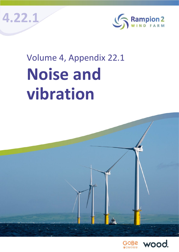**4.22.1**



# Volume 4, Appendix 22.1 **Noise and vibration**

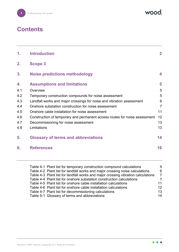

wood.

# **Contents**

| 1.  | <b>Introduction</b>                                                        | $\mathbf{2}$   |
|-----|----------------------------------------------------------------------------|----------------|
| 2.  | <b>Scope 3</b>                                                             |                |
| 3.  | <b>Noise predictions methodology</b>                                       | 4              |
| 4.  | <b>Assumptions and limitations</b>                                         | 5              |
| 4.1 | Overview                                                                   | 5              |
| 4.2 | Temporary construction compounds for noise assessment                      | 5              |
| 4.3 | Landfall works and major crossings for noise and vibration assessment      | 6              |
| 4.4 | Onshore substation construction for noise assessment                       | $\overline{7}$ |
| 4.5 | Onshore cable installation for noise assessment                            | 11             |
| 4.6 | Construction of temporary and permanent access routes for noise assessment | 12             |
| 4.7 | Decommissioning for noise assessment                                       | 13             |
| 4.8 | Limitations                                                                | 13             |
| 5.  | <b>Glossary of terms and abbreviations</b>                                 | 14             |
| 6.  | <b>References</b>                                                          | 16             |
|     |                                                                            |                |

| $\overline{5}$                                                                         |
|----------------------------------------------------------------------------------------|
| 6                                                                                      |
| Table 4-3 Plant list for landfall works and major crossing vibration calculations<br>7 |
| 7                                                                                      |
| 11                                                                                     |
| 12                                                                                     |
| 13                                                                                     |
| 14                                                                                     |
|                                                                                        |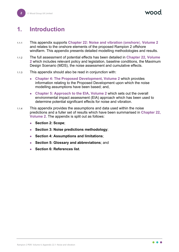<span id="page-2-0"></span>

# **1. Introduction**

- 1.1.1 This appendix supports **Chapter 22: Noise and vibration (onshore**), **Volume 2** and relates to the onshore elements of the proposed Rampion 2 offshore windfarm. This appendix presents detailed modelling methodologies and results.
- 1.1.2 The full assessment of potential effects has been detailed in **Chapter 22, Volume 2** which includes relevant policy and legislation, baseline conditions, the Maximum Design Scenario (MDS), the noise assessment and cumulative effects.
- 1.1.3 This appendix should also be read in conjunction with:
	- **Chapter 4: The Proposed Development, Volume 2** which provides information relating to the Proposed Development upon which the noise modelling assumptions have been based; and,
	- **Chapter 5: Approach to the EIA, Volume 2** which sets out the overall environmental impact assessment (EIA) approach which has been used to determine potential significant effects for noise and vibration.
- 1.1.4 This appendix provides the assumptions and data used within the noise predictions and a fuller set of results which have been summarised in **Chapter 22, Volume 2**. The appendix is split out as follows:
	- **Section 2: Scope**;
	- **Section 3: Noise predictions methodology**;
	- **Section 4: Assumptions and limitations**;
	- **Section 5: Glossary and abbreviations**; and
	- **Section 6: References list**.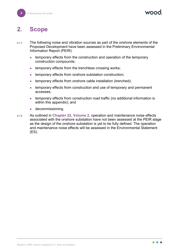# <span id="page-3-0"></span>**2. Scope**

- 2.1.1 The following noise and vibration sources as part of the onshore elements of the Proposed Development have been assessed in the Preliminary Environmental Information Report (PEIR):
	- temporary effects from the construction and operation of the temporary construction compounds;
	- temporary effects from the trenchless crossing works;
	- temporary effects from onshore substation construction;
	- temporary effects from onshore cable installation (trenched);
	- temporary effects from construction and use of temporary and permanent accesses;
	- temporary effects from construction road traffic (no additional information is within this appendix); and
	- **decommissioning.**
- 2.1.2 As outlined in **Chapter 22, Volume 2**, operation and maintenance noise effects associated with the onshore substation have not been assessed at the PEIR stage as the design of the onshore substation is yet to be fully defined. The operation and maintenance noise effects will be assessed in the Environmental Statement (ES).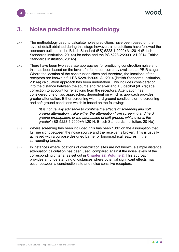## <span id="page-4-0"></span>**3. Noise predictions methodology**

- 3.1.1 The methodology used to calculate noise predictions have been based on the level of detail obtained during this stage however, all predictions have followed the approach outlined in the British Standard (BS) 5228-1:2009+A1:2014 (British Standards Institution, 2014a) for noise and the BS 5228-2:2009+A1:2014 (British Standards Institution, 2014b).
- 3.1.2 There have been two separate approaches for predicting construction noise and this has been based on the level of information currently available at PEIR stage. Where the location of the construction site/s and therefore, the locations of the receptors are known a full BS 5228-1:2009+A1:2014 (British Standards Institution, 2014a) calculation approach has been undertaken. This includes consideration into the distance between the source and receiver and a 3 decibel (dB) façade correction to account for reflections from the receptors. Attenuation has considered one of two approaches, dependent on which is approach provides greater attenuation. Either screening with hard ground conditions or no screening and soft ground conditions which is based on the following:

"*It is not usually advisable to combine the effects of screening and soft ground attenuation. Take either the attenuation from screening and hard ground propagation, or the attenuation of soft ground, whichever is the greater*" (BS 5228-1:2009+A1:2014, British Standards Institution, 2014a)

- 3.1.3 Where screening has been included, this has been 10dB on the assumption that full line sight between the noise source and the receiver is broken. This is usually achieved with a purpose designed barrier or topographical features in the surrounding terrain.
- 3.1.4 In instances where locations of construction sites are not known, a simple distance attenuation calculation has been used, compared against the noise levels of the corresponding criteria, as set out in **Chapter 22, Volume 2**. This approach provides an understanding of distances where potential significant effects may occur between a construction site and noise sensitive receptors.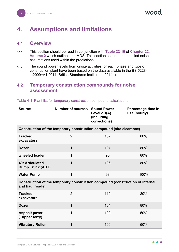vood

## <span id="page-5-0"></span>**4. Assumptions and limitations**

#### <span id="page-5-1"></span>**4.1 Overview**

- 4.1.1 This section should be read in conjunction with **Table 22-10** of **Chapter 22, Volume 2** which outlines the MDS. This section sets out the detailed noise assumptions used within the predictions.
- 4.1.2 The sound power levels from onsite activities for each phase and type of construction plant have been based on the data available in the BS 5228- 1:2009+A1:2014 (British Standards Institution, 2014a).

#### <span id="page-5-2"></span>**4.2 Temporary construction compounds for noise assessment**

| <b>Source</b>                                                                                    | <b>Number of sources Sound Power</b>                                 | Level dB(A)<br>(including<br>corrections) | Percentage time in<br>use (hourly) |
|--------------------------------------------------------------------------------------------------|----------------------------------------------------------------------|-------------------------------------------|------------------------------------|
|                                                                                                  | Construction of the temporary construction compound (site clearance) |                                           |                                    |
| <b>Tracked</b><br>excavators                                                                     | $\overline{2}$                                                       | 107                                       | 80%                                |
| <b>Dozer</b>                                                                                     | $\mathbf{1}$                                                         | 107                                       | 80%                                |
| wheeled loader                                                                                   | $\mathbf 1$                                                          | 95                                        | 80%                                |
| <b>40t Articulated</b><br><b>Dump Truck (ADT)</b>                                                | $\mathbf 1$                                                          | 106                                       | 80%                                |
| <b>Water Pump</b>                                                                                | $\mathbf 1$                                                          | 93                                        | 100%                               |
| Construction of the temporary construction compound (construction of internal<br>and haul roads) |                                                                      |                                           |                                    |
| <b>Tracked</b><br>excavators                                                                     | $\overline{2}$                                                       | 110                                       | 80%                                |
| <b>Dozer</b>                                                                                     | $\mathbf{1}$                                                         | 104                                       | 80%                                |
| <b>Asphalt paver</b><br>(+tipper lorry)                                                          | 1                                                                    | 100                                       | 50%                                |
| <b>Vibratory Roller</b>                                                                          | 1                                                                    | 100                                       | 50%                                |

Table 4-1 Plant list for temporary construction compound calculations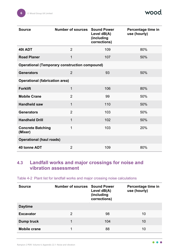| <b>Source</b>                         | <b>Number of sources Sound Power</b>                 | Level dB(A)<br>(including<br>corrections) | Percentage time in<br>use (hourly) |
|---------------------------------------|------------------------------------------------------|-------------------------------------------|------------------------------------|
| 40t ADT                               | $\overline{2}$                                       | 109                                       | 80%                                |
| <b>Road Planer</b>                    | $\mathbf{1}$                                         | 107                                       | 50%                                |
|                                       | <b>Operational (Temporary construction compound)</b> |                                           |                                    |
| <b>Generators</b>                     | $\overline{2}$                                       | 93                                        | 50%                                |
| <b>Operational (fabrication area)</b> |                                                      |                                           |                                    |
| <b>Forklift</b>                       | $\mathbf 1$                                          | 106                                       | 80%                                |
| <b>Mobile Crane</b>                   | $\overline{2}$                                       | 99                                        | 50%                                |
| <b>Handheld saw</b>                   | $\mathbf{1}$                                         | 110                                       | 50%                                |
| <b>Generators</b>                     | $\overline{2}$                                       | 103                                       | 50%                                |
| <b>Handheld Drill</b>                 | $\mathbf{1}$                                         | 102                                       | 50%                                |
| <b>Concrete Batching</b><br>(Mixer)   | 1                                                    | 103                                       | 20%                                |
| <b>Operational (haul roads)</b>       |                                                      |                                           |                                    |
| 40 tonne ADT                          | $\overline{2}$                                       | 109                                       | 80%                                |

## <span id="page-6-0"></span>**4.3 Landfall works and major crossings for noise and vibration assessment**

| <b>Source</b>       | <b>Number of sources</b> | <b>Sound Power</b><br>Level dB(A)<br>(including<br>corrections) | Percentage time in<br>use (hourly) |
|---------------------|--------------------------|-----------------------------------------------------------------|------------------------------------|
| <b>Daytime</b>      |                          |                                                                 |                                    |
| <b>Excavator</b>    | 2                        | 98                                                              | 10                                 |
| Dump truck          | 1                        | 104                                                             | 10                                 |
| <b>Mobile crane</b> | 1                        | 88                                                              | 10                                 |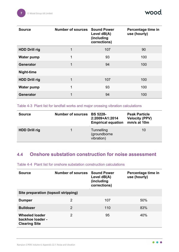wood

| <b>Source</b>        | <b>Number of sources Sound Power</b> | Level dB(A)<br>(including<br>corrections) | Percentage time in<br>use (hourly) |
|----------------------|--------------------------------------|-------------------------------------------|------------------------------------|
| <b>HDD Drill rig</b> |                                      | 107                                       | 90                                 |
| <b>Water pump</b>    | 1                                    | 93                                        | 100                                |
| Generator            | $\mathbf 1$                          | 94                                        | 100                                |
| Night-time           |                                      |                                           |                                    |
| <b>HDD Drill rig</b> | 1                                    | 107                                       | 100                                |
| <b>Water pump</b>    | 1                                    | 93                                        | 100                                |
| <b>Generator</b>     | 1                                    | 94                                        | 100                                |

Table 4-3 Plant list for landfall works and major crossing vibration calculations

| <b>Source</b>        | <b>Number of sources</b> | <b>BS 5228-</b><br>2:2009+A1:2014<br><b>Empirical equation</b> | <b>Peak Particle</b><br><b>Velocity (PPV)</b><br>mm/s at 10m |
|----------------------|--------------------------|----------------------------------------------------------------|--------------------------------------------------------------|
| <b>HDD Drill rig</b> |                          | Tunnelling<br>(groundborne<br>vibration)                       | 10                                                           |

## <span id="page-7-0"></span>**4.4 Onshore substation construction for noise assessment**

Table 4-4 Plant list for onshore substation construction calculations

| <b>Source</b>                                                     | <b>Number of sources Sound Power</b> | Level dB(A)<br>(including<br>corrections) | Percentage time in<br>use (hourly) |  |
|-------------------------------------------------------------------|--------------------------------------|-------------------------------------------|------------------------------------|--|
| Site preparation (topsoil stripping)                              |                                      |                                           |                                    |  |
| <b>Dumper</b>                                                     | 2                                    | 107                                       | 50%                                |  |
| <b>Bulldozer</b>                                                  | 2                                    | 110                                       | 83%                                |  |
| <b>Wheeled loader</b><br>backhoe loader -<br><b>Clearing Site</b> | 2                                    | 95                                        | 40%                                |  |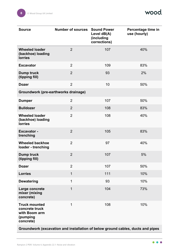wood.

| <b>Source</b>                                                                    | <b>Number of sources</b> | <b>Sound Power</b><br>Level dB(A)<br>(including<br>corrections) | Percentage time in<br>use (hourly) |
|----------------------------------------------------------------------------------|--------------------------|-----------------------------------------------------------------|------------------------------------|
| <b>Wheeled loader</b><br>(backhoe) loading<br><b>lorries</b>                     | $\overline{2}$           | 107                                                             | 40%                                |
| <b>Excavator</b>                                                                 | $\overline{2}$           | 109                                                             | 83%                                |
| <b>Dump truck</b><br>(tipping fill)                                              | $\overline{2}$           | 93                                                              | 2%                                 |
| <b>Dozer</b>                                                                     | $\overline{2}$           | 10                                                              | 50%                                |
| Groundwork (pre-earthworks drainage)                                             |                          |                                                                 |                                    |
| <b>Dumper</b>                                                                    | $\overline{2}$           | 107                                                             | 50%                                |
| <b>Bulldozer</b>                                                                 | $\overline{2}$           | 108                                                             | 83%                                |
| <b>Wheeled loader</b><br>(backhoe) loading<br><b>lorries</b>                     | $\overline{2}$           | 108                                                             | 40%                                |
| <b>Excavator -</b><br>trenching                                                  | $\overline{2}$           | 105                                                             | 83%                                |
| <b>Wheeled backhoe</b><br>loader - trenching                                     | $\overline{2}$           | 97                                                              | 40%                                |
| <b>Dump truck</b><br>(tipping fill)                                              | $\overline{2}$           | 107                                                             | 5%                                 |
| <b>Dozer</b>                                                                     | $\overline{2}$           | 107                                                             | 50%                                |
| <b>Lorries</b>                                                                   | $\mathbf{1}$             | 111                                                             | 10%                                |
| <b>Dewatering</b>                                                                | 1                        | 93                                                              | 10%                                |
| Large concrete<br>mixer (mixing<br>concrete)                                     | $\overline{1}$           | 104                                                             | 73%                                |
| <b>Truck mounted</b><br>concrete truck<br>with Boom arm<br>(pumping<br>concrete) | $\mathbf 1$              | 108                                                             | 10%                                |

**Groundwork (excavation and installation of below ground cables, ducts and pipes**

 $\bullet$  $\bullet$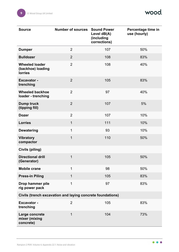| <b>Source</b>                                                | <b>Number of sources Sound Power</b> | Level dB(A)<br>(including<br>corrections) | Percentage time in<br>use (hourly) |  |
|--------------------------------------------------------------|--------------------------------------|-------------------------------------------|------------------------------------|--|
| <b>Dumper</b>                                                | $\overline{2}$                       | 107                                       | 50%                                |  |
| <b>Bulldozer</b>                                             | $\overline{2}$                       | 108                                       | 83%                                |  |
| <b>Wheeled loader</b><br>(backhoe) loading<br><b>lorries</b> | $\overline{2}$                       | 108                                       | 40%                                |  |
| <b>Excavator -</b><br>trenching                              | $\overline{2}$                       | 105                                       | 83%                                |  |
| <b>Wheeled backhoe</b><br>loader - trenching                 | $\overline{2}$                       | 97                                        | 40%                                |  |
| Dump truck<br>(tipping fill)                                 | $\overline{2}$                       | 107                                       | 5%                                 |  |
| <b>Dozer</b>                                                 | $\overline{2}$                       | 107                                       | 10%                                |  |
| <b>Lorries</b>                                               | $\mathbf{1}$                         | 111                                       | 10%                                |  |
| <b>Dewatering</b>                                            | $\mathbf 1$                          | 93                                        | 10%                                |  |
| <b>Vibratory</b><br>compactor                                | $\mathbf{1}$                         | 110                                       | 50%                                |  |
| <b>Civils (piling)</b>                                       |                                      |                                           |                                    |  |
| <b>Directional drill</b><br>(Generator)                      | $\mathbf{1}$                         | 105                                       | 50%                                |  |
| <b>Mobile crane</b>                                          | 1                                    | 98                                        | 50%                                |  |
| <b>Press-in Piling</b>                                       | $\mathbf{1}$                         | 105                                       | 83%                                |  |
| Drop hammer pile<br>rig power pack                           | 1                                    | 97                                        | 83%                                |  |
| Civils (trench excavation and laying concrete foundations)   |                                      |                                           |                                    |  |
| <b>Excavator -</b><br>trenching                              | $\overline{2}$                       | 105                                       | 83%                                |  |
| Large concrete<br>mixer (mixing<br>concrete)                 | $\mathbf{1}$                         | 104                                       | 73%                                |  |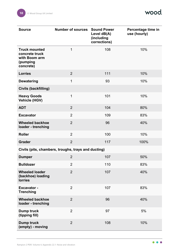| <b>Source</b>                                                                    | <b>Number of sources</b>                            | <b>Sound Power</b><br>Level dB(A)<br>(including<br>corrections) | Percentage time in<br>use (hourly) |
|----------------------------------------------------------------------------------|-----------------------------------------------------|-----------------------------------------------------------------|------------------------------------|
| <b>Truck mounted</b><br>concrete truck<br>with Boom arm<br>(pumping<br>concrete) | 1                                                   | 108                                                             | 10%                                |
| <b>Lorries</b>                                                                   | $\overline{2}$                                      | 111                                                             | 10%                                |
| <b>Dewatering</b>                                                                | $\mathbf 1$                                         | 93                                                              | 10%                                |
| Civils (backfilling)                                                             |                                                     |                                                                 |                                    |
| <b>Heavy Goods</b><br><b>Vehicle (HGV)</b>                                       | $\mathbf 1$                                         | 101                                                             | 10%                                |
| <b>ADT</b>                                                                       | $\overline{2}$                                      | 104                                                             | 80%                                |
| <b>Excavator</b>                                                                 | $\overline{2}$                                      | 109                                                             | 83%                                |
| <b>Wheeled backhoe</b><br>loader - trenching                                     | $\overline{2}$                                      | 96                                                              | 40%                                |
| <b>Roller</b>                                                                    | $\overline{2}$                                      | 100                                                             | 10%                                |
| <b>Grader</b>                                                                    | $\overline{2}$                                      | 117                                                             | 100%                               |
|                                                                                  | Civils (pits, chambers, troughs, trays and ducting) |                                                                 |                                    |
| <b>Dumper</b>                                                                    | $\overline{2}$                                      | 107                                                             | 50%                                |
| <b>Bulldozer</b>                                                                 | $\overline{2}$                                      | 110                                                             | 83%                                |
| <b>Wheeled loader</b><br>(backhoe) loading<br><b>lorries</b>                     | $\overline{2}$                                      | 107                                                             | 40%                                |
| <b>Excavator -</b><br><b>Trenching</b>                                           | $\overline{2}$                                      | 107                                                             | 83%                                |
| <b>Wheeled backhoe</b><br>loader - trenching                                     | $\overline{2}$                                      | 96                                                              | 40%                                |
| Dump truck<br>(tipping fill)                                                     | $\overline{2}$                                      | 97                                                              | 5%                                 |
| <b>Dump truck</b><br>(empty) - moving                                            | $\overline{2}$                                      | 108                                                             | 10%                                |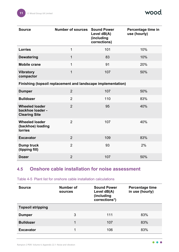| <b>Source</b>                                                     | <b>Number of sources</b>                                     | <b>Sound Power</b><br>Level dB(A)<br>(including<br>corrections) | Percentage time in<br>use (hourly) |
|-------------------------------------------------------------------|--------------------------------------------------------------|-----------------------------------------------------------------|------------------------------------|
| <b>Lorries</b>                                                    | $\mathbf{1}$                                                 | 101                                                             | 10%                                |
| <b>Dewatering</b>                                                 | $\mathbf{1}$                                                 | 83                                                              | 10%                                |
| <b>Mobile crane</b>                                               | $\mathbf{1}$                                                 | 91                                                              | 20%                                |
| <b>Vibratory</b><br>compactor                                     | $\overline{1}$                                               | 107                                                             | 50%                                |
|                                                                   | Finishing (topsoil replacement and landscape implementation) |                                                                 |                                    |
| <b>Dumper</b>                                                     | $\overline{2}$                                               | 107                                                             | 50%                                |
| <b>Bulldozer</b>                                                  | $\overline{2}$                                               | 110                                                             | 83%                                |
| <b>Wheeled loader</b><br>backhoe loader -<br><b>Clearing Site</b> | $\overline{2}$                                               | 95                                                              | 40%                                |
| <b>Wheeled loader</b><br>(backhoe) loading<br><b>lorries</b>      | $\overline{2}$                                               | 107                                                             | 40%                                |
| <b>Excavator</b>                                                  | $\overline{2}$                                               | 109                                                             | 83%                                |
| <b>Dump truck</b><br>(tipping fill)                               | $\overline{2}$                                               | 93                                                              | 2%                                 |
| <b>Dozer</b>                                                      | $\overline{2}$                                               | 107                                                             | 50%                                |

## <span id="page-11-0"></span>**4.5 Onshore cable installation for noise assessment**

**Source Number of sources Sound Power Level dB(A) (including corrections\*) Percentage time in use (hourly) Topsoil stripping Dumper** 83% **Bulldozer** 1 107 83% **Excavator** 1 106 83%

Table 4-5 Plant list for onshore cable installation calculations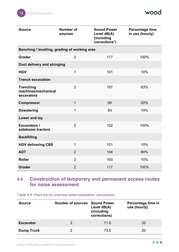| <b>Source</b>                                         | <b>Number of</b><br><b>sources</b> | <b>Sound Power</b><br>Level dB(A)<br>(including<br>corrections*) | Percentage time<br>in use (hourly) |
|-------------------------------------------------------|------------------------------------|------------------------------------------------------------------|------------------------------------|
| Benching / levelling, grading of working area         |                                    |                                                                  |                                    |
| <b>Grader</b>                                         | $\overline{2}$                     | 117                                                              | 100%                               |
| Duct delivery and stringing                           |                                    |                                                                  |                                    |
| <b>HGV</b>                                            | $\mathbf 1$                        | 101                                                              | 10%                                |
| <b>Trench excavation</b>                              |                                    |                                                                  |                                    |
| <b>Trenching</b><br>machines/mechanical<br>excavators | $\overline{2}$                     | 107                                                              | 83%                                |
| <b>Compressor</b>                                     | $\mathbf{1}$                       | 96                                                               | 20%                                |
| <b>Dewatering</b>                                     | $\mathbf 1$                        | 83                                                               | 10%                                |
| Lower and lay                                         |                                    |                                                                  |                                    |
| <b>Excavators /</b><br>sideboom tractors              | $\overline{2}$                     | 102                                                              | 100%                               |
| <b>Backfilling</b>                                    |                                    |                                                                  |                                    |
| <b>HGV delivering CBS</b>                             | 1                                  | 101                                                              | 10%                                |
| <b>ADT</b>                                            | $\overline{2}$                     | 104                                                              | 80%                                |
| <b>Roller</b>                                         | $\overline{2}$                     | 100                                                              | 10%                                |
| <b>Grader</b>                                         | $\overline{2}$                     | 117                                                              | 100%                               |

## <span id="page-12-0"></span>**4.6 Construction of temporary and permanent access routes for noise assessment**

Table 4-6 Plant list for onshore cable installation calculations

| <b>Source</b>     | <b>Number of sources</b> | <b>Sound Power</b><br>Level dB(A)<br>(including<br>corrections) | Percentage time in<br>use (hourly) |
|-------------------|--------------------------|-----------------------------------------------------------------|------------------------------------|
| <b>Excavator</b>  | $\mathcal{P}$            | 71.0                                                            | 20                                 |
| <b>Dump Truck</b> | $\mathcal{P}$            | 73.0                                                            | 20                                 |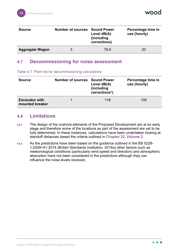

| <b>Source</b>          | <b>Number of sources Sound Power</b> | Level $dB(A)$<br><i>(including)</i><br>corrections) | Percentage time in<br>use (hourly) |
|------------------------|--------------------------------------|-----------------------------------------------------|------------------------------------|
| <b>Aggregate Wagon</b> | 3                                    | 78.8                                                | 20                                 |

### <span id="page-13-0"></span>**4.7 Decommissioning for noise assessment**

|  |  |  | Table 4-7 Plant list for decommissioning calculations |  |
|--|--|--|-------------------------------------------------------|--|
|--|--|--|-------------------------------------------------------|--|

| <b>Source</b>                            | <b>Number of sources</b> | <b>Sound Power</b><br>Level $dB(A)$<br>(including)<br>corrections*) | Percentage time in<br>use (hourly) |
|------------------------------------------|--------------------------|---------------------------------------------------------------------|------------------------------------|
| <b>Excavator with</b><br>mounted breaker |                          | 118                                                                 | 100                                |

#### <span id="page-13-1"></span>**4.8 Limitations**

- 4.8.1 The design of the onshore elements of the Proposed Development are at an early stage and therefore some of the locations as part of the assessment are yet to be fully determined. In these instances, calculations have been undertaken looking at standoff distances based the criteria outlined in **Chapter 22, Volume 2**.
- 4.8.2 As the predictions have been based on the guidance outlined in the BS 5228- 1:2009+A1:2014 (British Standards Institution, 2014a) other factors such as meteorological conditions (particularly wind speed and direction) and atmospheric absorption have not been considered in the predictions although they can influence the noise levels received.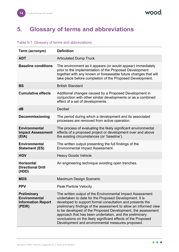wood.

# <span id="page-14-0"></span>**5. Glossary of terms and abbreviations**

#### Table 5-1 Glossary of terms and abbreviations

| Term (acronym)                                                                    | <b>Definition</b>                                                                                                                                                                                                                                                                                                                                                                                                                                                                                  |
|-----------------------------------------------------------------------------------|----------------------------------------------------------------------------------------------------------------------------------------------------------------------------------------------------------------------------------------------------------------------------------------------------------------------------------------------------------------------------------------------------------------------------------------------------------------------------------------------------|
| <b>ADT</b>                                                                        | <b>Articulated Dump Truck</b>                                                                                                                                                                                                                                                                                                                                                                                                                                                                      |
| <b>Baseline conditions</b>                                                        | The environment as it appears (or would appear) immediately<br>prior to the implementation of the Proposed Development<br>together with any known or foreseeable future changes that will<br>take place before completion of the Proposed Development.                                                                                                                                                                                                                                             |
| <b>BS</b>                                                                         | <b>British Standard</b>                                                                                                                                                                                                                                                                                                                                                                                                                                                                            |
| <b>Cumulative effects</b>                                                         | Additional changes caused by a Proposed Development in<br>conjunction with other similar developments or as a combined<br>effect of a set of developments.                                                                                                                                                                                                                                                                                                                                         |
| dB                                                                                | <b>Decibel</b>                                                                                                                                                                                                                                                                                                                                                                                                                                                                                     |
| <b>Decommissioning</b>                                                            | The period during which a development and its associated<br>processes are removed from active operation.                                                                                                                                                                                                                                                                                                                                                                                           |
| <b>Environmental</b><br><b>Impact Assessment</b><br>(EIA)                         | The process of evaluating the likely significant environmental<br>effects of a proposed project or development over and above<br>the existing circumstances (or 'baseline').                                                                                                                                                                                                                                                                                                                       |
| Environmental<br><b>Statement (ES)</b>                                            | The written output presenting the full findings of the<br><b>Environmental Impact Assessment.</b>                                                                                                                                                                                                                                                                                                                                                                                                  |
| <b>HGV</b>                                                                        | <b>Heavy Goods Vehicle</b>                                                                                                                                                                                                                                                                                                                                                                                                                                                                         |
| <b>Horizontal</b><br><b>Directional Drill</b><br>(HDD)                            | An engineering technique avoiding open trenches.                                                                                                                                                                                                                                                                                                                                                                                                                                                   |
| <b>MDS</b>                                                                        | <b>Maximum Design Scenario</b>                                                                                                                                                                                                                                                                                                                                                                                                                                                                     |
| <b>PPV</b>                                                                        | <b>Peak Particle Velocity</b>                                                                                                                                                                                                                                                                                                                                                                                                                                                                      |
| <b>Preliminary</b><br><b>Environmental</b><br><b>Information Report</b><br>(PEIR) | The written output of the Environmental Impact Assessment<br>undertaken to date for the Proposed Development. It is<br>developed to support formal consultation and presents the<br>preliminary findings of the assessment to allow an informed view<br>to be developed of the Proposed Development, the assessment<br>approach that has been undertaken, and the preliminary<br>conclusions on the likely significant effects of the Proposed<br>Development and environmental measures proposed. |

 $\bullet$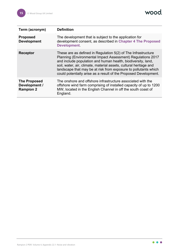wood.

| Term (acronym)                                           | <b>Definition</b>                                                                                                                                                                                                                                                                                                                                                                                        |
|----------------------------------------------------------|----------------------------------------------------------------------------------------------------------------------------------------------------------------------------------------------------------------------------------------------------------------------------------------------------------------------------------------------------------------------------------------------------------|
| <b>Proposed</b><br><b>Development</b>                    | The development that is subject to the application for<br>development consent, as described in Chapter 4 The Proposed<br><b>Development.</b>                                                                                                                                                                                                                                                             |
| <b>Receptor</b>                                          | These are as defined in Regulation 5(2) of The Infrastructure<br>Planning (Environmental Impact Assessment) Regulations 2017<br>and include population and human health, biodiversity, land,<br>soil, water, air, climate, material assets, cultural heritage and<br>landscape that may be at risk from exposure to pollutants which<br>could potentially arise as a result of the Proposed Development. |
| <b>The Proposed</b><br>Development /<br><b>Rampion 2</b> | The onshore and offshore infrastructure associated with the<br>offshore wind farm comprising of installed capacity of up to 1200<br>MW, located in the English Channel in off the south coast of<br>England.                                                                                                                                                                                             |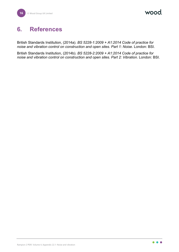wood

# <span id="page-16-0"></span>**6. References**

British Standards Institution, (2014a). *BS 5228-1:2009 + A1:2014 Code of practice for noise and vibration control on construction and open sites. Part 1: Noise*. London: BSI.

British Standards Institution, (2014b). *BS 5228-2:2009 + A1:2014 Code of practice for noise and vibration control on construction and open sites. Part 2: Vibration*. London: BSI.